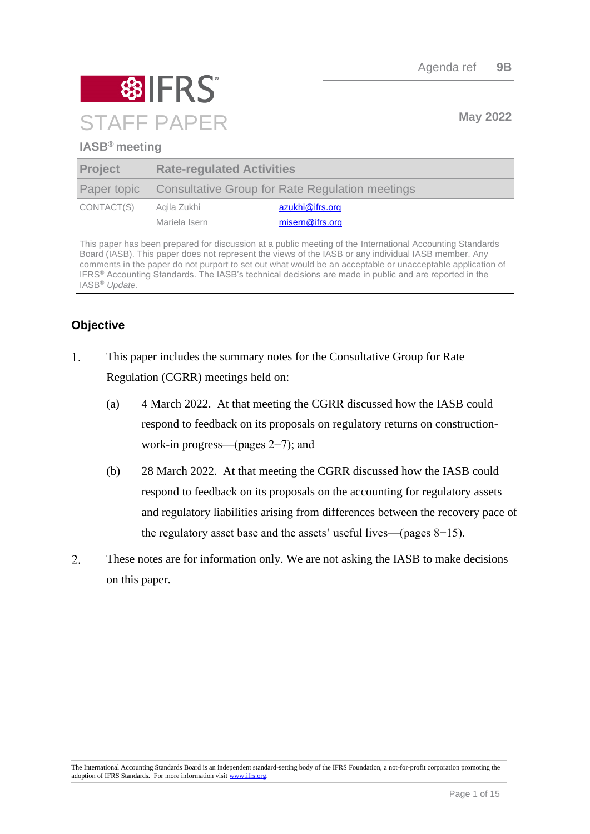

# **IASB® meeting**

| <b>Project</b> | <b>Rate-regulated Activities</b> |                                                             |
|----------------|----------------------------------|-------------------------------------------------------------|
|                |                                  | Paper topic Consultative Group for Rate Regulation meetings |
| CONTACT(S)     | Agila Zukhi                      | azukhi@ifrs.org                                             |
|                | Mariela Isern                    | misern@ifrs.org                                             |

This paper has been prepared for discussion at a public meeting of the International Accounting Standards Board (IASB). This paper does not represent the views of the IASB or any individual IASB member. Any comments in the paper do not purport to set out what would be an acceptable or unacceptable application of IFRS® Accounting Standards. The IASB's technical decisions are made in public and are reported in the IASB® *Update*.

# **Objective**

- $1.$ This paper includes the summary notes for the Consultative Group for Rate Regulation (CGRR) meetings held on:
	- (a) 4 March 2022. At that meeting the CGRR discussed how the IASB could respond to feedback on its proposals on regulatory returns on constructionwork-in progress—(pages 2−7); and
	- (b) 28 March 2022. At that meeting the CGRR discussed how the IASB could respond to feedback on its proposals on the accounting for regulatory assets and regulatory liabilities arising from differences between the recovery pace of the regulatory asset base and the assets' useful lives—(pages 8−15).
- $\overline{2}$ . These notes are for information only. We are not asking the IASB to make decisions on this paper.

The International Accounting Standards Board is an independent standard-setting body of the IFRS Foundation, a not-for-profit corporation promoting the adoption of IFRS Standards. For more information visit [www.ifrs.org.](http://www.ifrs.org/)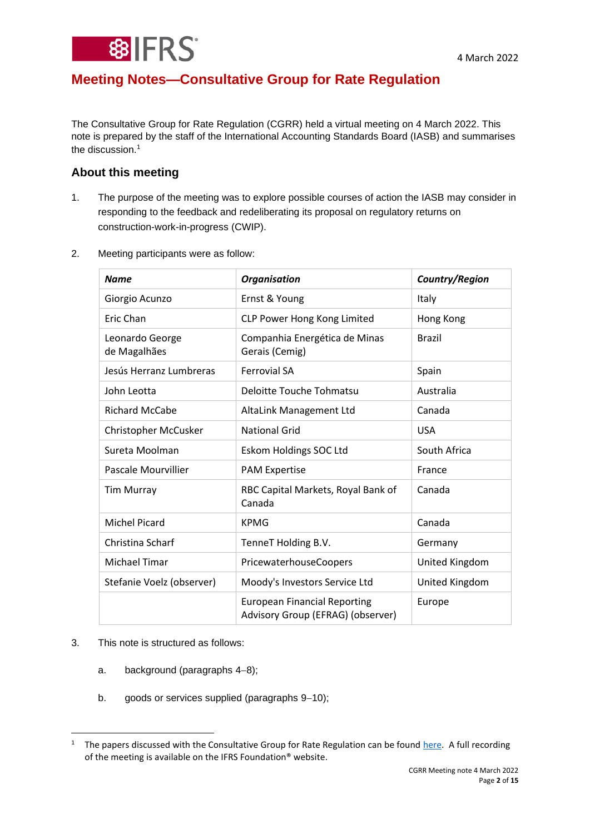

# **Meeting Notes—Consultative Group for Rate Regulation**

The Consultative Group for Rate Regulation (CGRR) held a virtual meeting on 4 March 2022. This note is prepared by the staff of the International Accounting Standards Board (IASB) and summarises the discussion. $1$ 

# **About this meeting**

1. The purpose of the meeting was to explore possible courses of action the IASB may consider in responding to the feedback and redeliberating its proposal on regulatory returns on construction-work-in-progress (CWIP).

| 2. | Meeting participants were as follow: |  |  |
|----|--------------------------------------|--|--|
|    |                                      |  |  |

| <b>Name</b>                     | <b>Organisation</b>                                                      | Country/Region |  |
|---------------------------------|--------------------------------------------------------------------------|----------------|--|
| Giorgio Acunzo                  | Ernst & Young                                                            | Italy          |  |
| Eric Chan                       | CLP Power Hong Kong Limited                                              | Hong Kong      |  |
| Leonardo George<br>de Magalhães | Companhia Energética de Minas<br>Gerais (Cemig)                          | <b>Brazil</b>  |  |
| Jesús Herranz Lumbreras         | <b>Ferrovial SA</b>                                                      | Spain          |  |
| John Leotta                     | <b>Deloitte Touche Tohmatsu</b>                                          | Australia      |  |
| <b>Richard McCabe</b>           | AltaLink Management Ltd                                                  | Canada         |  |
| Christopher McCusker            | <b>National Grid</b>                                                     | <b>USA</b>     |  |
| Sureta Moolman                  | Eskom Holdings SOC Ltd                                                   | South Africa   |  |
| Pascale Mourvillier             | <b>PAM Expertise</b>                                                     | France         |  |
| <b>Tim Murray</b>               | RBC Capital Markets, Royal Bank of<br>Canada                             | Canada         |  |
| <b>Michel Picard</b>            | <b>KPMG</b>                                                              | Canada         |  |
| Christina Scharf                | TenneT Holding B.V.                                                      | Germany        |  |
| <b>Michael Timar</b>            | PricewaterhouseCoopers                                                   | United Kingdom |  |
| Stefanie Voelz (observer)       | Moody's Investors Service Ltd                                            | United Kingdom |  |
|                                 | <b>European Financial Reporting</b><br>Advisory Group (EFRAG) (observer) | Europe         |  |

#### 3. This note is structured as follows:

- a. background (paragraphs [4](#page-2-0)−[8\)](#page-2-1);
- b. goods or services supplied (paragraphs [9](#page-3-0)−[10\)](#page-3-1);

<sup>&</sup>lt;sup>1</sup> The papers discussed with the Consultative Group for Rate Regulation can be found [here.](https://www.ifrs.org/groups/consultative-group-for-rate-regulation/#meetings) A full recording of the meeting is available on the IFRS Foundation® website.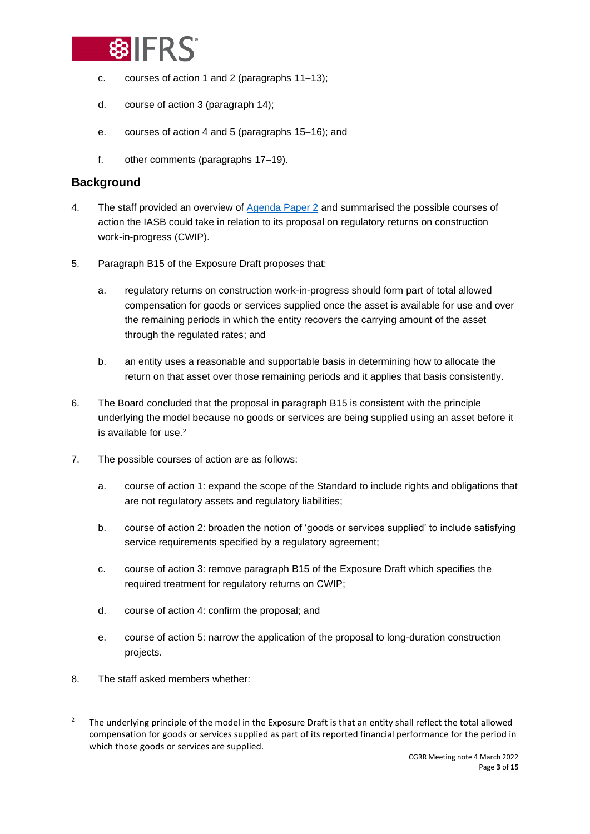

- c. courses of action 1 and 2 (paragraphs [11](#page-3-2)−[13\)](#page-4-0);
- d. course of action 3 (paragraph [14\)](#page-4-1);
- e. courses of action 4 and 5 (paragraphs [15](#page-5-0)−[16\)](#page-5-1); and
- f. other comments (paragraphs [17](#page-5-2)−[19\)](#page-5-3).

# **Background**

- <span id="page-2-0"></span>4. The staff provided an overview of [Agenda Paper 2](https://www.ifrs.org/content/dam/ifrs/meetings/2022/march/cgrr/ap02-returns-on-cwip.pdf) and summarised the possible courses of action the IASB could take in relation to its proposal on regulatory returns on construction work-in-progress (CWIP).
- 5. Paragraph B15 of the Exposure Draft proposes that:
	- a. regulatory returns on construction work-in-progress should form part of total allowed compensation for goods or services supplied once the asset is available for use and over the remaining periods in which the entity recovers the carrying amount of the asset through the regulated rates; and
	- b. an entity uses a reasonable and supportable basis in determining how to allocate the return on that asset over those remaining periods and it applies that basis consistently.
- 6. The Board concluded that the proposal in paragraph B15 is consistent with the principle underlying the model because no goods or services are being supplied using an asset before it is available for use.<sup>2</sup>
- 7. The possible courses of action are as follows:
	- a. course of action 1: expand the scope of the Standard to include rights and obligations that are not regulatory assets and regulatory liabilities;
	- b. course of action 2: broaden the notion of 'goods or services supplied' to include satisfying service requirements specified by a regulatory agreement;
	- c. course of action 3: remove paragraph B15 of the Exposure Draft which specifies the required treatment for regulatory returns on CWIP;
	- d. course of action 4: confirm the proposal; and
	- e. course of action 5: narrow the application of the proposal to long-duration construction projects.
- <span id="page-2-1"></span>8. The staff asked members whether:

<sup>&</sup>lt;sup>2</sup> The underlying principle of the model in the Exposure Draft is that an entity shall reflect the total allowed compensation for goods or services supplied as part of its reported financial performance for the period in which those goods or services are supplied.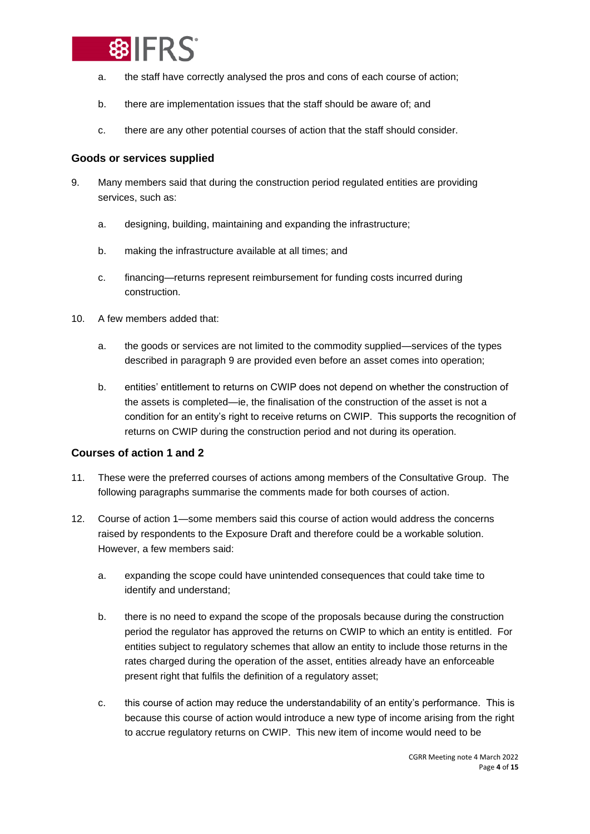

- a. the staff have correctly analysed the pros and cons of each course of action;
- b. there are implementation issues that the staff should be aware of; and
- c. there are any other potential courses of action that the staff should consider.

#### **Goods or services supplied**

- <span id="page-3-0"></span>9. Many members said that during the construction period regulated entities are providing services, such as:
	- a. designing, building, maintaining and expanding the infrastructure;
	- b. making the infrastructure available at all times; and
	- c. financing—returns represent reimbursement for funding costs incurred during construction.
- <span id="page-3-1"></span>10. A few members added that:
	- a. the goods or services are not limited to the commodity supplied—services of the types described in paragraph [9](#page-3-0) are provided even before an asset comes into operation;
	- b. entities' entitlement to returns on CWIP does not depend on whether the construction of the assets is completed—ie, the finalisation of the construction of the asset is not a condition for an entity's right to receive returns on CWIP. This supports the recognition of returns on CWIP during the construction period and not during its operation.

#### **Courses of action 1 and 2**

- <span id="page-3-2"></span>11. These were the preferred courses of actions among members of the Consultative Group. The following paragraphs summarise the comments made for both courses of action.
- 12. Course of action 1—some members said this course of action would address the concerns raised by respondents to the Exposure Draft and therefore could be a workable solution. However, a few members said:
	- a. expanding the scope could have unintended consequences that could take time to identify and understand;
	- b. there is no need to expand the scope of the proposals because during the construction period the regulator has approved the returns on CWIP to which an entity is entitled. For entities subject to regulatory schemes that allow an entity to include those returns in the rates charged during the operation of the asset, entities already have an enforceable present right that fulfils the definition of a regulatory asset;
	- c. this course of action may reduce the understandability of an entity's performance. This is because this course of action would introduce a new type of income arising from the right to accrue regulatory returns on CWIP. This new item of income would need to be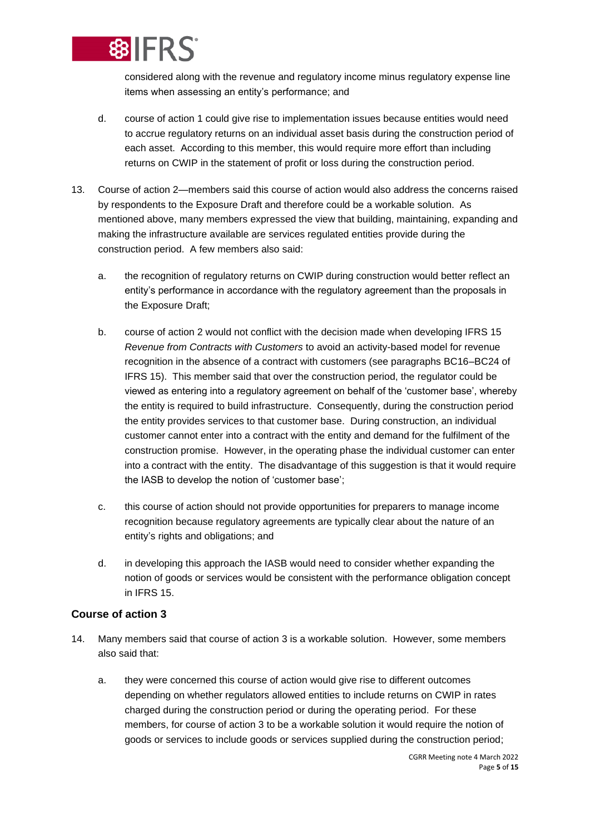

considered along with the revenue and regulatory income minus regulatory expense line items when assessing an entity's performance; and

- d. course of action 1 could give rise to implementation issues because entities would need to accrue regulatory returns on an individual asset basis during the construction period of each asset. According to this member, this would require more effort than including returns on CWIP in the statement of profit or loss during the construction period.
- <span id="page-4-0"></span>13. Course of action 2—members said this course of action would also address the concerns raised by respondents to the Exposure Draft and therefore could be a workable solution. As mentioned above, many members expressed the view that building, maintaining, expanding and making the infrastructure available are services regulated entities provide during the construction period. A few members also said:
	- a. the recognition of regulatory returns on CWIP during construction would better reflect an entity's performance in accordance with the regulatory agreement than the proposals in the Exposure Draft;
	- b. course of action 2 would not conflict with the decision made when developing IFRS 15 *Revenue from Contracts with Customers* to avoid an activity-based model for revenue recognition in the absence of a contract with customers (see paragraphs BC16–BC24 of IFRS 15). This member said that over the construction period, the regulator could be viewed as entering into a regulatory agreement on behalf of the 'customer base', whereby the entity is required to build infrastructure. Consequently, during the construction period the entity provides services to that customer base. During construction, an individual customer cannot enter into a contract with the entity and demand for the fulfilment of the construction promise. However, in the operating phase the individual customer can enter into a contract with the entity. The disadvantage of this suggestion is that it would require the IASB to develop the notion of 'customer base';
	- c. this course of action should not provide opportunities for preparers to manage income recognition because regulatory agreements are typically clear about the nature of an entity's rights and obligations; and
	- d. in developing this approach the IASB would need to consider whether expanding the notion of goods or services would be consistent with the performance obligation concept in IFRS 15.

## **Course of action 3**

- <span id="page-4-1"></span>14. Many members said that course of action 3 is a workable solution. However, some members also said that:
	- a. they were concerned this course of action would give rise to different outcomes depending on whether regulators allowed entities to include returns on CWIP in rates charged during the construction period or during the operating period. For these members, for course of action 3 to be a workable solution it would require the notion of goods or services to include goods or services supplied during the construction period;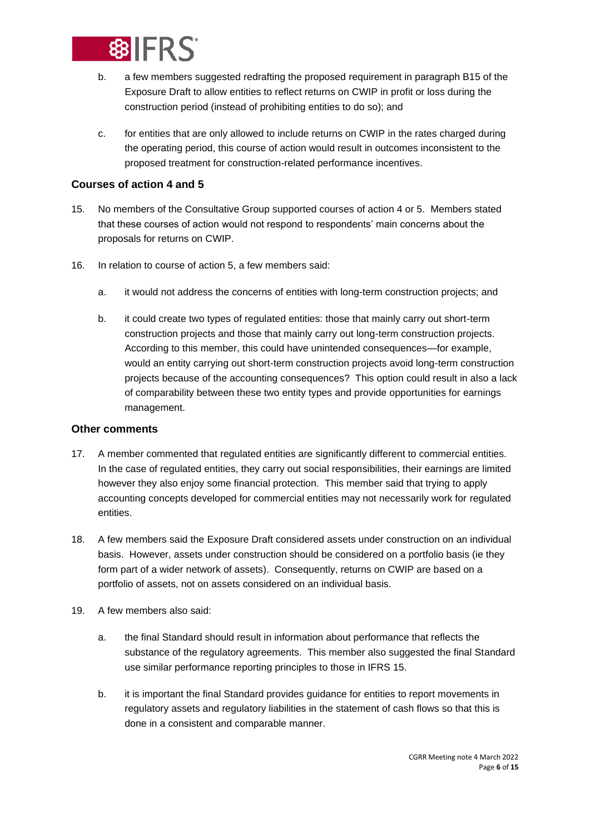

- b. a few members suggested redrafting the proposed requirement in paragraph B15 of the Exposure Draft to allow entities to reflect returns on CWIP in profit or loss during the construction period (instead of prohibiting entities to do so); and
- c. for entities that are only allowed to include returns on CWIP in the rates charged during the operating period, this course of action would result in outcomes inconsistent to the proposed treatment for construction-related performance incentives.

## **Courses of action 4 and 5**

- <span id="page-5-0"></span>15. No members of the Consultative Group supported courses of action 4 or 5. Members stated that these courses of action would not respond to respondents' main concerns about the proposals for returns on CWIP.
- <span id="page-5-1"></span>16. In relation to course of action 5, a few members said:
	- a. it would not address the concerns of entities with long-term construction projects; and
	- b. it could create two types of regulated entities: those that mainly carry out short-term construction projects and those that mainly carry out long-term construction projects. According to this member, this could have unintended consequences—for example, would an entity carrying out short-term construction projects avoid long-term construction projects because of the accounting consequences? This option could result in also a lack of comparability between these two entity types and provide opportunities for earnings management.

## **Other comments**

- <span id="page-5-2"></span>17. A member commented that regulated entities are significantly different to commercial entities. In the case of regulated entities, they carry out social responsibilities, their earnings are limited however they also enjoy some financial protection. This member said that trying to apply accounting concepts developed for commercial entities may not necessarily work for regulated entities.
- 18. A few members said the Exposure Draft considered assets under construction on an individual basis. However, assets under construction should be considered on a portfolio basis (ie they form part of a wider network of assets). Consequently, returns on CWIP are based on a portfolio of assets, not on assets considered on an individual basis.
- <span id="page-5-3"></span>19. A few members also said:
	- a. the final Standard should result in information about performance that reflects the substance of the regulatory agreements. This member also suggested the final Standard use similar performance reporting principles to those in IFRS 15.
	- b. it is important the final Standard provides guidance for entities to report movements in regulatory assets and regulatory liabilities in the statement of cash flows so that this is done in a consistent and comparable manner.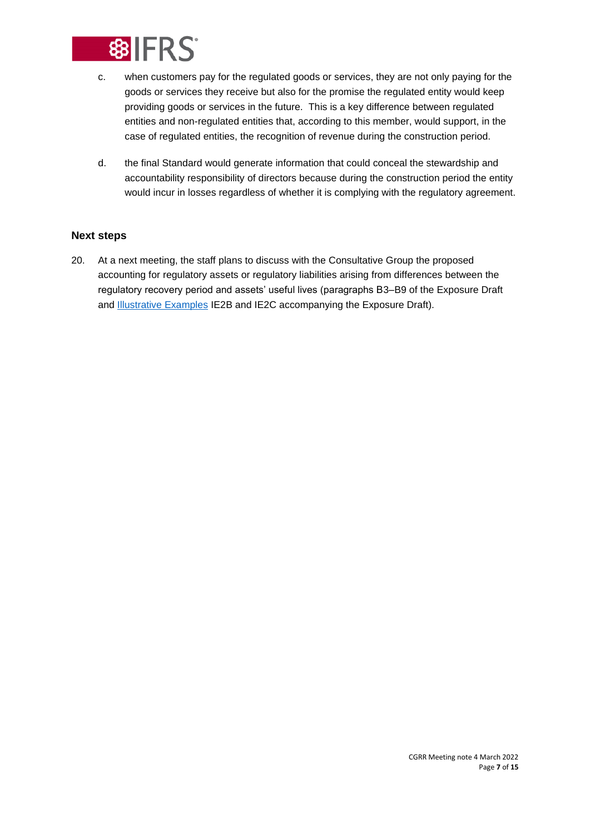

- c. when customers pay for the regulated goods or services, they are not only paying for the goods or services they receive but also for the promise the regulated entity would keep providing goods or services in the future. This is a key difference between regulated entities and non-regulated entities that, according to this member, would support, in the case of regulated entities, the recognition of revenue during the construction period.
- d. the final Standard would generate information that could conceal the stewardship and accountability responsibility of directors because during the construction period the entity would incur in losses regardless of whether it is complying with the regulatory agreement.

### **Next steps**

20. At a next meeting, the staff plans to discuss with the Consultative Group the proposed accounting for regulatory assets or regulatory liabilities arising from differences between the regulatory recovery period and assets' useful lives (paragraphs B3–B9 of the Exposure Draft and **Illustrative Examples** IE2B and IE2C accompanying the Exposure Draft).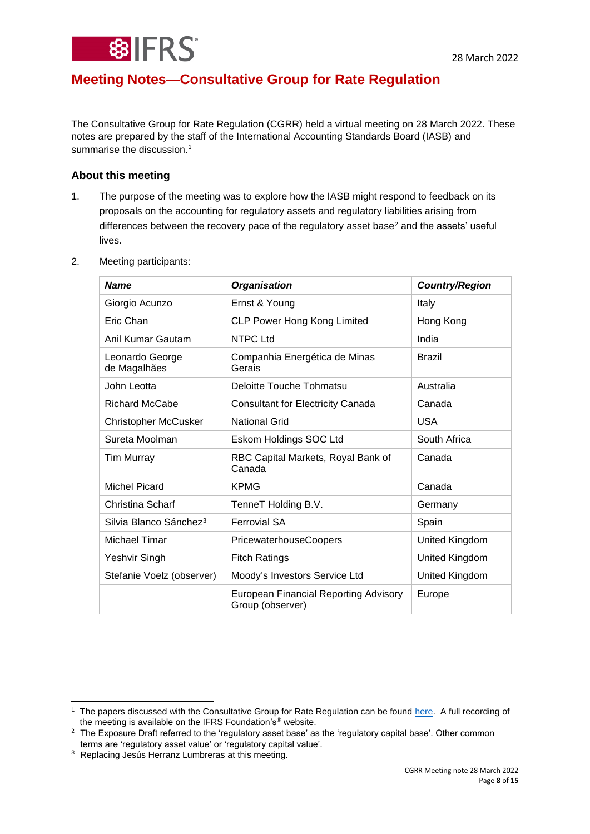# **Meeting Notes—Consultative Group for Rate Regulation**

The Consultative Group for Rate Regulation (CGRR) held a virtual meeting on 28 March 2022. These notes are prepared by the staff of the International Accounting Standards Board (IASB) and summarise the discussion. $<sup>1</sup>$ </sup>

# **About this meeting**

1. The purpose of the meeting was to explore how the IASB might respond to feedback on its proposals on the accounting for regulatory assets and regulatory liabilities arising from differences between the recovery pace of the regulatory asset base<sup>2</sup> and the assets' useful lives.

| <b>Name</b>                        | <b>Organisation</b>                                              | <b>Country/Region</b> |  |
|------------------------------------|------------------------------------------------------------------|-----------------------|--|
| Giorgio Acunzo                     | Ernst & Young                                                    | Italy                 |  |
| Eric Chan                          | <b>CLP Power Hong Kong Limited</b>                               | Hong Kong             |  |
| Anil Kumar Gautam                  | <b>NTPC Ltd</b>                                                  | India                 |  |
| Leonardo George<br>de Magalhães    | Companhia Energética de Minas<br>Gerais                          | <b>Brazil</b>         |  |
| John Leotta                        | Deloitte Touche Tohmatsu                                         | Australia             |  |
| Richard McCabe                     | <b>Consultant for Electricity Canada</b>                         | Canada                |  |
| <b>Christopher McCusker</b>        | <b>National Grid</b>                                             | <b>USA</b>            |  |
| Sureta Moolman                     | Eskom Holdings SOC Ltd                                           | South Africa          |  |
| <b>Tim Murray</b>                  | RBC Capital Markets, Royal Bank of<br>Canada                     | Canada                |  |
| <b>Michel Picard</b>               | <b>KPMG</b>                                                      | Canada                |  |
| Christina Scharf                   | TenneT Holding B.V.                                              | Germany               |  |
| Silvia Blanco Sánchez <sup>3</sup> | <b>Ferrovial SA</b>                                              | Spain                 |  |
| Michael Timar                      | PricewaterhouseCoopers                                           | United Kingdom        |  |
| Yeshvir Singh                      | <b>Fitch Ratings</b>                                             | United Kingdom        |  |
| Stefanie Voelz (observer)          | Moody's Investors Service Ltd                                    | United Kingdom        |  |
|                                    | <b>European Financial Reporting Advisory</b><br>Group (observer) | Europe                |  |

2. Meeting participants:

<sup>&</sup>lt;sup>1</sup> The papers discussed with the Consultative Group for Rate Regulation can be found [here.](https://www.ifrs.org/groups/consultative-group-for-rate-regulation/#meetings) A full recording of the meeting is available on the IFRS Foundation's® website.

<sup>&</sup>lt;sup>2</sup> The Exposure Draft referred to the 'regulatory asset base' as the 'regulatory capital base'. Other common terms are 'regulatory asset value' or 'regulatory capital value'.

<sup>&</sup>lt;sup>3</sup> Replacing Jesús Herranz Lumbreras at this meeting.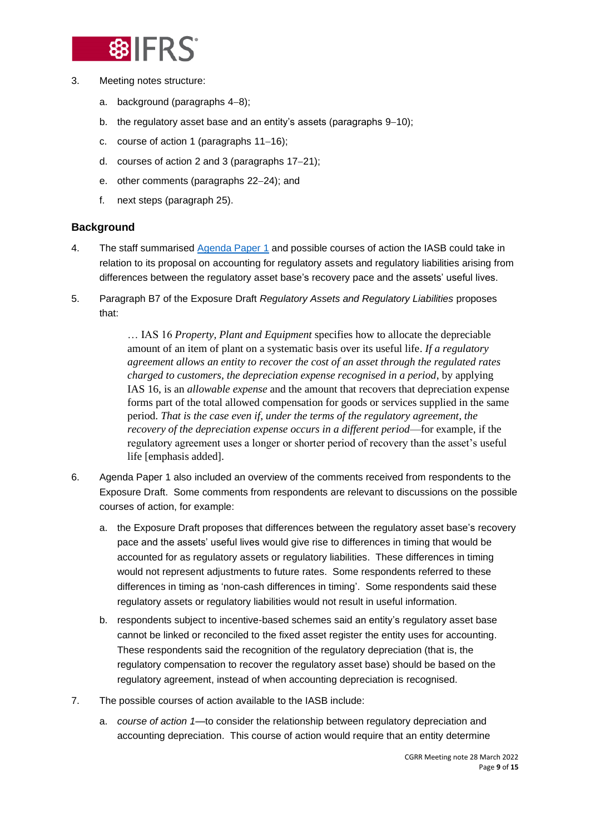

- 3. Meeting notes structure:
	- a. background (paragraphs [4](#page-8-0)−[8\)](#page-9-0);
	- b. the regulatory asset base and an entity's assets (paragraphs [9](#page-9-1)−[10\)](#page-9-2);
	- c. course of action 1 (paragraphs [11](#page-9-3)−[16\)](#page-11-0);
	- d. courses of action 2 and 3 (paragraphs [17](#page-12-0)−[21\)](#page-13-0);
	- e. other comments (paragraphs [22](#page-13-1)−[24\)](#page-13-2); and
	- f. next steps (paragraph [25\)](#page-14-0).

## **Background**

- <span id="page-8-0"></span>4. The staff summarised [Agenda Paper 1](https://www.ifrs.org/content/dam/ifrs/meetings/2022/march/cgrr-2/ap1-regulatory-assets-and-regulatory-liabilities-arising-from-differences-between-regulatory-recovery-pace-and-assets-useful-lives.pdf) and possible courses of action the IASB could take in relation to its proposal on accounting for regulatory assets and regulatory liabilities arising from differences between the regulatory asset base's recovery pace and the assets' useful lives.
- 5. Paragraph B7 of the Exposure Draft *Regulatory Assets and Regulatory Liabilities* proposes that:

… IAS 16 *Property, Plant and Equipment* specifies how to allocate the depreciable amount of an item of plant on a systematic basis over its useful life. *If a regulatory agreement allows an entity to recover the cost of an asset through the regulated rates charged to customers, the depreciation expense recognised in a period*, by applying IAS 16, is an *allowable expense* and the amount that recovers that depreciation expense forms part of the total allowed compensation for goods or services supplied in the same period. *That is the case even if, under the terms of the regulatory agreement, the recovery of the depreciation expense occurs in a different period*—for example, if the regulatory agreement uses a longer or shorter period of recovery than the asset's useful life [emphasis added].

- 6. Agenda Paper 1 also included an overview of the comments received from respondents to the Exposure Draft. Some comments from respondents are relevant to discussions on the possible courses of action, for example:
	- a. the Exposure Draft proposes that differences between the regulatory asset base's recovery pace and the assets' useful lives would give rise to differences in timing that would be accounted for as regulatory assets or regulatory liabilities. These differences in timing would not represent adjustments to future rates. Some respondents referred to these differences in timing as 'non-cash differences in timing'. Some respondents said these regulatory assets or regulatory liabilities would not result in useful information.
	- b. respondents subject to incentive-based schemes said an entity's regulatory asset base cannot be linked or reconciled to the fixed asset register the entity uses for accounting. These respondents said the recognition of the regulatory depreciation (that is, the regulatory compensation to recover the regulatory asset base) should be based on the regulatory agreement, instead of when accounting depreciation is recognised.
- 7. The possible courses of action available to the IASB include:
	- a. *course of action 1*—to consider the relationship between regulatory depreciation and accounting depreciation. This course of action would require that an entity determine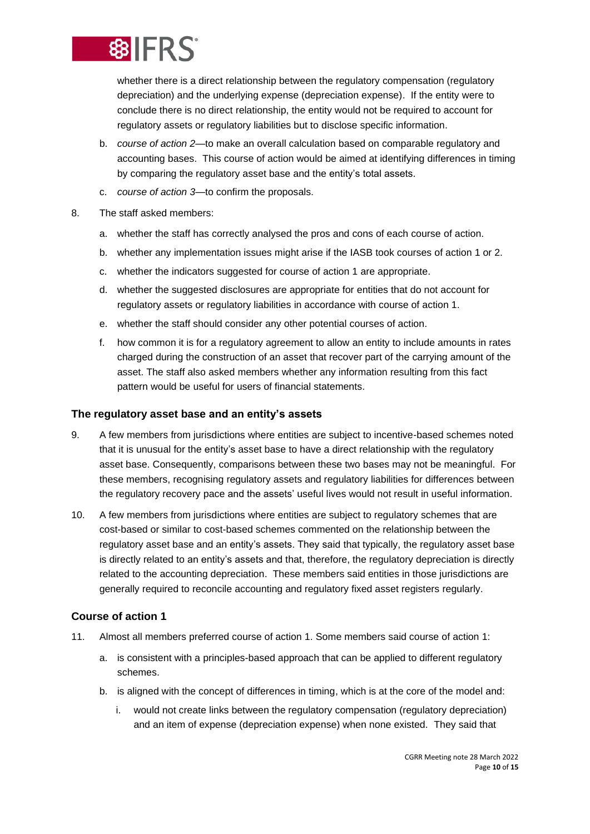

whether there is a direct relationship between the regulatory compensation (regulatory depreciation) and the underlying expense (depreciation expense). If the entity were to conclude there is no direct relationship, the entity would not be required to account for regulatory assets or regulatory liabilities but to disclose specific information.

- b. *course of action 2*—to make an overall calculation based on comparable regulatory and accounting bases. This course of action would be aimed at identifying differences in timing by comparing the regulatory asset base and the entity's total assets.
- c. *course of action 3*—to confirm the proposals.
- <span id="page-9-0"></span>8. The staff asked members:
	- a. whether the staff has correctly analysed the pros and cons of each course of action.
	- b. whether any implementation issues might arise if the IASB took courses of action 1 or 2.
	- c. whether the indicators suggested for course of action 1 are appropriate.
	- d. whether the suggested disclosures are appropriate for entities that do not account for regulatory assets or regulatory liabilities in accordance with course of action 1.
	- e. whether the staff should consider any other potential courses of action.
	- f. how common it is for a regulatory agreement to allow an entity to include amounts in rates charged during the construction of an asset that recover part of the carrying amount of the asset. The staff also asked members whether any information resulting from this fact pattern would be useful for users of financial statements.

#### **The regulatory asset base and an entity's assets**

- <span id="page-9-1"></span>9. A few members from jurisdictions where entities are subject to incentive-based schemes noted that it is unusual for the entity's asset base to have a direct relationship with the regulatory asset base. Consequently, comparisons between these two bases may not be meaningful. For these members, recognising regulatory assets and regulatory liabilities for differences between the regulatory recovery pace and the assets' useful lives would not result in useful information.
- <span id="page-9-2"></span>10. A few members from jurisdictions where entities are subject to regulatory schemes that are cost-based or similar to cost-based schemes commented on the relationship between the regulatory asset base and an entity's assets. They said that typically, the regulatory asset base is directly related to an entity's assets and that, therefore, the regulatory depreciation is directly related to the accounting depreciation. These members said entities in those jurisdictions are generally required to reconcile accounting and regulatory fixed asset registers regularly.

#### **Course of action 1**

- <span id="page-9-3"></span>11. Almost all members preferred course of action 1. Some members said course of action 1:
	- a. is consistent with a principles-based approach that can be applied to different regulatory schemes.
	- b. is aligned with the concept of differences in timing, which is at the core of the model and:
		- i. would not create links between the regulatory compensation (regulatory depreciation) and an item of expense (depreciation expense) when none existed. They said that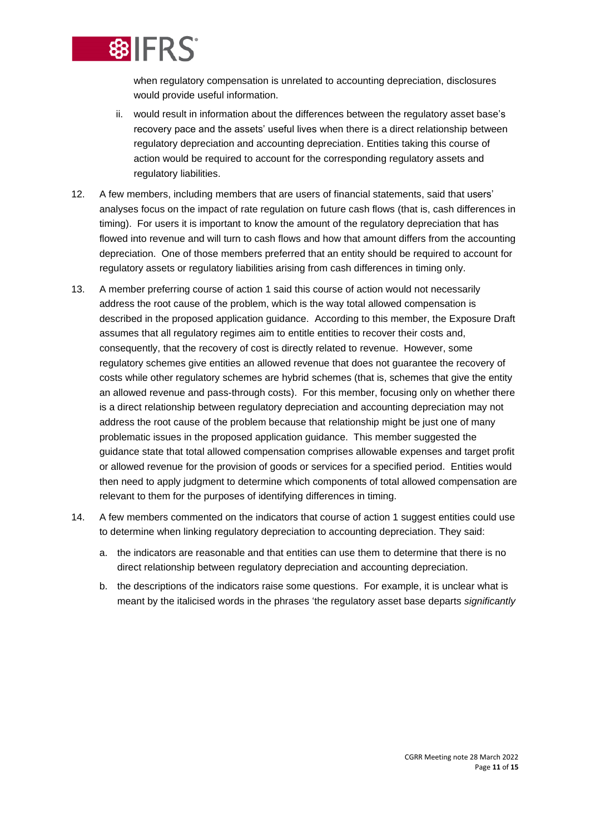

when regulatory compensation is unrelated to accounting depreciation, disclosures would provide useful information.

- ii. would result in information about the differences between the regulatory asset base's recovery pace and the assets' useful lives when there is a direct relationship between regulatory depreciation and accounting depreciation. Entities taking this course of action would be required to account for the corresponding regulatory assets and regulatory liabilities.
- 12. A few members, including members that are users of financial statements, said that users' analyses focus on the impact of rate regulation on future cash flows (that is, cash differences in timing). For users it is important to know the amount of the regulatory depreciation that has flowed into revenue and will turn to cash flows and how that amount differs from the accounting depreciation. One of those members preferred that an entity should be required to account for regulatory assets or regulatory liabilities arising from cash differences in timing only.
- 13. A member preferring course of action 1 said this course of action would not necessarily address the root cause of the problem, which is the way total allowed compensation is described in the proposed application guidance. According to this member, the Exposure Draft assumes that all regulatory regimes aim to entitle entities to recover their costs and, consequently, that the recovery of cost is directly related to revenue. However, some regulatory schemes give entities an allowed revenue that does not guarantee the recovery of costs while other regulatory schemes are hybrid schemes (that is, schemes that give the entity an allowed revenue and pass-through costs). For this member, focusing only on whether there is a direct relationship between regulatory depreciation and accounting depreciation may not address the root cause of the problem because that relationship might be just one of many problematic issues in the proposed application guidance. This member suggested the guidance state that total allowed compensation comprises allowable expenses and target profit or allowed revenue for the provision of goods or services for a specified period. Entities would then need to apply judgment to determine which components of total allowed compensation are relevant to them for the purposes of identifying differences in timing.
- 14. A few members commented on the indicators that course of action 1 suggest entities could use to determine when linking regulatory depreciation to accounting depreciation. They said:
	- a. the indicators are reasonable and that entities can use them to determine that there is no direct relationship between regulatory depreciation and accounting depreciation.
	- b. the descriptions of the indicators raise some questions. For example, it is unclear what is meant by the italicised words in the phrases 'the regulatory asset base departs *significantly*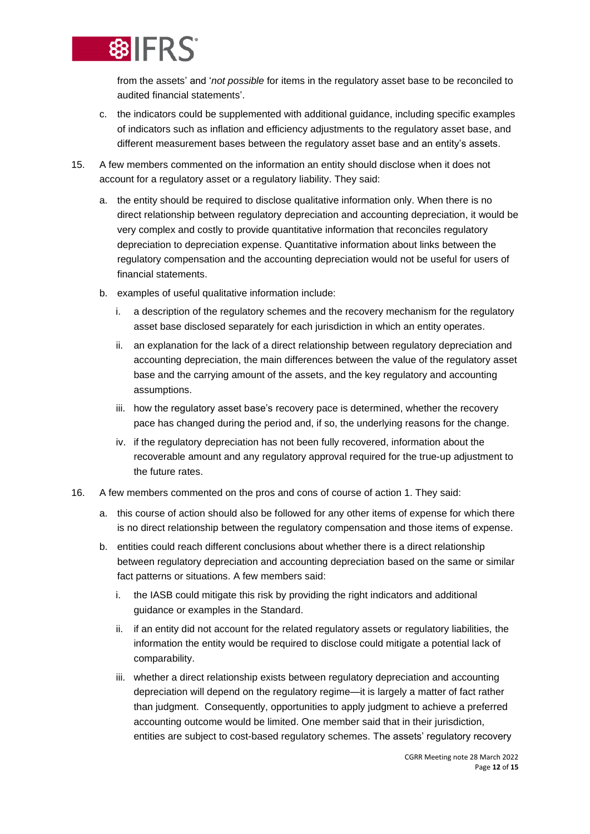

from the assets' and '*not possible* for items in the regulatory asset base to be reconciled to audited financial statements'.

- c. the indicators could be supplemented with additional guidance, including specific examples of indicators such as inflation and efficiency adjustments to the regulatory asset base, and different measurement bases between the regulatory asset base and an entity's assets.
- <span id="page-11-1"></span>15. A few members commented on the information an entity should disclose when it does not account for a regulatory asset or a regulatory liability. They said:
	- a. the entity should be required to disclose qualitative information only. When there is no direct relationship between regulatory depreciation and accounting depreciation, it would be very complex and costly to provide quantitative information that reconciles regulatory depreciation to depreciation expense. Quantitative information about links between the regulatory compensation and the accounting depreciation would not be useful for users of financial statements.
	- b. examples of useful qualitative information include:
		- i. a description of the regulatory schemes and the recovery mechanism for the regulatory asset base disclosed separately for each jurisdiction in which an entity operates.
		- ii. an explanation for the lack of a direct relationship between regulatory depreciation and accounting depreciation, the main differences between the value of the regulatory asset base and the carrying amount of the assets, and the key regulatory and accounting assumptions.
		- iii. how the regulatory asset base's recovery pace is determined, whether the recovery pace has changed during the period and, if so, the underlying reasons for the change.
		- iv. if the regulatory depreciation has not been fully recovered, information about the recoverable amount and any regulatory approval required for the true-up adjustment to the future rates.
- <span id="page-11-0"></span>16. A few members commented on the pros and cons of course of action 1. They said:
	- a. this course of action should also be followed for any other items of expense for which there is no direct relationship between the regulatory compensation and those items of expense.
	- b. entities could reach different conclusions about whether there is a direct relationship between regulatory depreciation and accounting depreciation based on the same or similar fact patterns or situations. A few members said:
		- i. the IASB could mitigate this risk by providing the right indicators and additional guidance or examples in the Standard.
		- ii. if an entity did not account for the related regulatory assets or regulatory liabilities, the information the entity would be required to disclose could mitigate a potential lack of comparability.
		- iii. whether a direct relationship exists between regulatory depreciation and accounting depreciation will depend on the regulatory regime—it is largely a matter of fact rather than judgment. Consequently, opportunities to apply judgment to achieve a preferred accounting outcome would be limited. One member said that in their jurisdiction, entities are subject to cost-based regulatory schemes. The assets' regulatory recovery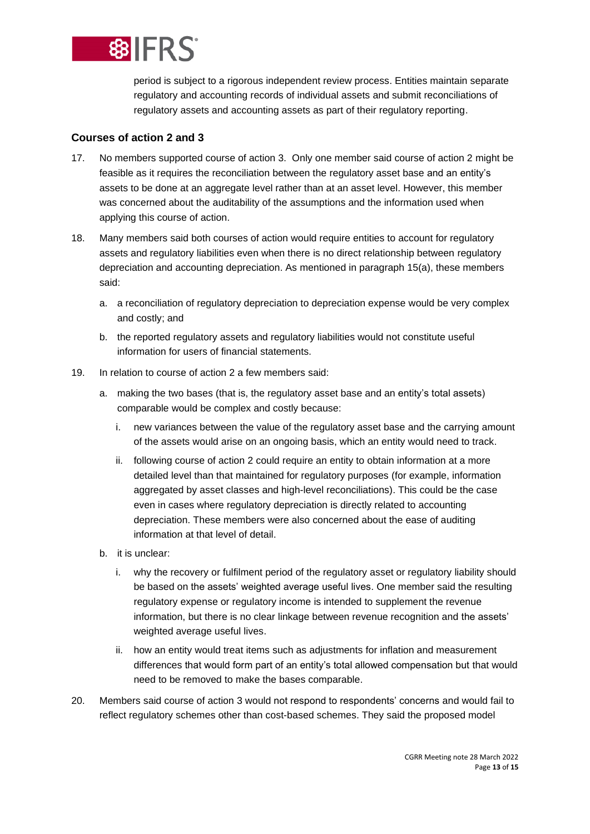

period is subject to a rigorous independent review process. Entities maintain separate regulatory and accounting records of individual assets and submit reconciliations of regulatory assets and accounting assets as part of their regulatory reporting.

## **Courses of action 2 and 3**

- <span id="page-12-0"></span>17. No members supported course of action 3. Only one member said course of action 2 might be feasible as it requires the reconciliation between the regulatory asset base and an entity's assets to be done at an aggregate level rather than at an asset level. However, this member was concerned about the auditability of the assumptions and the information used when applying this course of action.
- 18. Many members said both courses of action would require entities to account for regulatory assets and regulatory liabilities even when there is no direct relationship between regulatory depreciation and accounting depreciation. As mentioned in paragraph 15[\(a\)](#page-11-1), these members said:
	- a. a reconciliation of regulatory depreciation to depreciation expense would be very complex and costly; and
	- b. the reported regulatory assets and regulatory liabilities would not constitute useful information for users of financial statements.
- 19. In relation to course of action 2 a few members said:
	- a. making the two bases (that is, the regulatory asset base and an entity's total assets) comparable would be complex and costly because:
		- i. new variances between the value of the regulatory asset base and the carrying amount of the assets would arise on an ongoing basis, which an entity would need to track.
		- ii. following course of action 2 could require an entity to obtain information at a more detailed level than that maintained for regulatory purposes (for example, information aggregated by asset classes and high-level reconciliations). This could be the case even in cases where regulatory depreciation is directly related to accounting depreciation. These members were also concerned about the ease of auditing information at that level of detail.
	- b. it is unclear:
		- i. why the recovery or fulfilment period of the regulatory asset or regulatory liability should be based on the assets' weighted average useful lives. One member said the resulting regulatory expense or regulatory income is intended to supplement the revenue information, but there is no clear linkage between revenue recognition and the assets' weighted average useful lives.
		- ii. how an entity would treat items such as adjustments for inflation and measurement differences that would form part of an entity's total allowed compensation but that would need to be removed to make the bases comparable.
- 20. Members said course of action 3 would not respond to respondents' concerns and would fail to reflect regulatory schemes other than cost-based schemes. They said the proposed model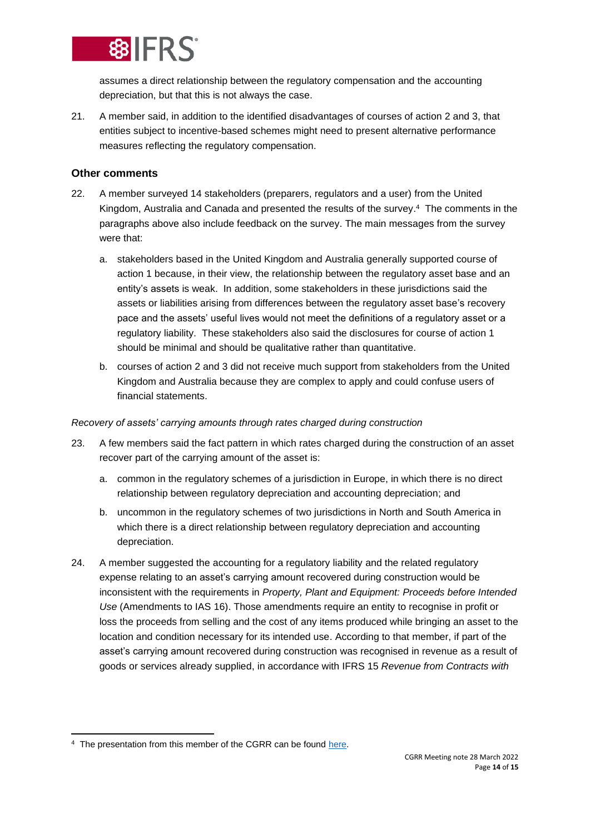

assumes a direct relationship between the regulatory compensation and the accounting depreciation, but that this is not always the case.

<span id="page-13-0"></span>21. A member said, in addition to the identified disadvantages of courses of action 2 and 3, that entities subject to incentive-based schemes might need to present alternative performance measures reflecting the regulatory compensation.

### **Other comments**

- <span id="page-13-1"></span>22. A member surveyed 14 stakeholders (preparers, regulators and a user) from the United Kingdom, Australia and Canada and presented the results of the survey. 4 The comments in the paragraphs above also include feedback on the survey. The main messages from the survey were that:
	- a. stakeholders based in the United Kingdom and Australia generally supported course of action 1 because, in their view, the relationship between the regulatory asset base and an entity's assets is weak. In addition, some stakeholders in these jurisdictions said the assets or liabilities arising from differences between the regulatory asset base's recovery pace and the assets' useful lives would not meet the definitions of a regulatory asset or a regulatory liability. These stakeholders also said the disclosures for course of action 1 should be minimal and should be qualitative rather than quantitative.
	- b. courses of action 2 and 3 did not receive much support from stakeholders from the United Kingdom and Australia because they are complex to apply and could confuse users of financial statements.

#### *Recovery of assets' carrying amounts through rates charged during construction*

- 23. A few members said the fact pattern in which rates charged during the construction of an asset recover part of the carrying amount of the asset is:
	- a. common in the regulatory schemes of a jurisdiction in Europe, in which there is no direct relationship between regulatory depreciation and accounting depreciation; and
	- b. uncommon in the regulatory schemes of two jurisdictions in North and South America in which there is a direct relationship between regulatory depreciation and accounting depreciation.
- <span id="page-13-2"></span>24. A member suggested the accounting for a regulatory liability and the related regulatory expense relating to an asset's carrying amount recovered during construction would be inconsistent with the requirements in *Property, Plant and Equipment: Proceeds before Intended Use* (Amendments to IAS 16). Those amendments require an entity to recognise in profit or loss the proceeds from selling and the cost of any items produced while bringing an asset to the location and condition necessary for its intended use. According to that member, if part of the asset's carrying amount recovered during construction was recognised in revenue as a result of goods or services already supplied, in accordance with IFRS 15 *Revenue from Contracts with*

<sup>&</sup>lt;sup>4</sup> The presentation from this member of the CGRR can be found [here.](https://www.ifrs.org/groups/consultative-group-for-rate-regulation/#meetings)